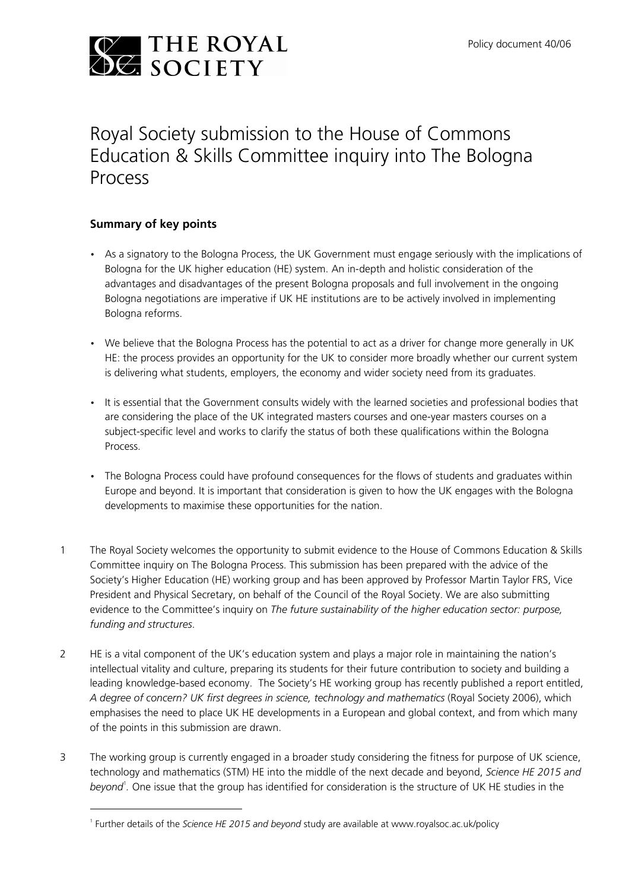

# Royal Society submission to the House of Commons Education & Skills Committee inquiry into The Bologna Process

## Summary of key points

- As a signatory to the Bologna Process, the UK Government must engage seriously with the implications of Bologna for the UK higher education (HE) system. An in-depth and holistic consideration of the advantages and disadvantages of the present Bologna proposals and full involvement in the ongoing Bologna negotiations are imperative if UK HE institutions are to be actively involved in implementing Bologna reforms.
- We believe that the Bologna Process has the potential to act as a driver for change more generally in UK HE: the process provides an opportunity for the UK to consider more broadly whether our current system is delivering what students, employers, the economy and wider society need from its graduates.
- It is essential that the Government consults widely with the learned societies and professional bodies that are considering the place of the UK integrated masters courses and one-year masters courses on a subject-specific level and works to clarify the status of both these qualifications within the Bologna Process.
- The Bologna Process could have profound consequences for the flows of students and graduates within Europe and beyond. It is important that consideration is given to how the UK engages with the Bologna developments to maximise these opportunities for the nation.
- 1 The Royal Society welcomes the opportunity to submit evidence to the House of Commons Education & Skills Committee inquiry on The Bologna Process. This submission has been prepared with the advice of the Society's Higher Education (HE) working group and has been approved by Professor Martin Taylor FRS, Vice President and Physical Secretary, on behalf of the Council of the Royal Society. We are also submitting evidence to the Committee's inquiry on The future sustainability of the higher education sector: purpose, funding and structures.
- 2 HE is a vital component of the UK's education system and plays a major role in maintaining the nation's intellectual vitality and culture, preparing its students for their future contribution to society and building a leading knowledge-based economy. The Society's HE working group has recently published a report entitled, A degree of concern? UK first degrees in science, technology and mathematics (Royal Society 2006), which emphasises the need to place UK HE developments in a European and global context, and from which many of the points in this submission are drawn.
- 3 The working group is currently engaged in a broader study considering the fitness for purpose of UK science, technology and mathematics (STM) HE into the middle of the next decade and beyond, Science HE 2015 and beyond<sup>1</sup>. One issue that the group has identified for consideration is the structure of UK HE studies in the

<u> 1989 - Johann Stein, marwolaethau a bhann an t-Amhair Aonaichte ann an t-Amhair Aonaichte ann an t-Amhair Aon</u>

<sup>&</sup>lt;sup>1</sup> Further details of the Science HE 2015 and beyond study are available at www.royalsoc.ac.uk/policy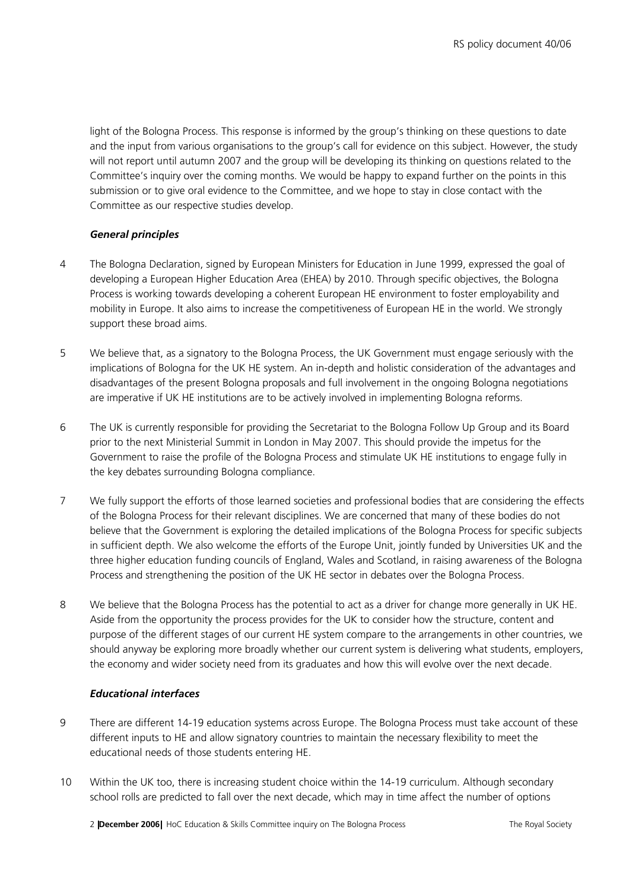light of the Bologna Process. This response is informed by the group's thinking on these questions to date and the input from various organisations to the group's call for evidence on this subject. However, the study will not report until autumn 2007 and the group will be developing its thinking on questions related to the Committee's inquiry over the coming months. We would be happy to expand further on the points in this submission or to give oral evidence to the Committee, and we hope to stay in close contact with the Committee as our respective studies develop.

## General principles

- 4 The Bologna Declaration, signed by European Ministers for Education in June 1999, expressed the goal of developing a European Higher Education Area (EHEA) by 2010. Through specific objectives, the Bologna Process is working towards developing a coherent European HE environment to foster employability and mobility in Europe. It also aims to increase the competitiveness of European HE in the world. We strongly support these broad aims.
- 5 We believe that, as a signatory to the Bologna Process, the UK Government must engage seriously with the implications of Bologna for the UK HE system. An in-depth and holistic consideration of the advantages and disadvantages of the present Bologna proposals and full involvement in the ongoing Bologna negotiations are imperative if UK HE institutions are to be actively involved in implementing Bologna reforms.
- 6 The UK is currently responsible for providing the Secretariat to the Bologna Follow Up Group and its Board prior to the next Ministerial Summit in London in May 2007. This should provide the impetus for the Government to raise the profile of the Bologna Process and stimulate UK HE institutions to engage fully in the key debates surrounding Bologna compliance.
- 7 We fully support the efforts of those learned societies and professional bodies that are considering the effects of the Bologna Process for their relevant disciplines. We are concerned that many of these bodies do not believe that the Government is exploring the detailed implications of the Bologna Process for specific subjects in sufficient depth. We also welcome the efforts of the Europe Unit, jointly funded by Universities UK and the three higher education funding councils of England, Wales and Scotland, in raising awareness of the Bologna Process and strengthening the position of the UK HE sector in debates over the Bologna Process.
- 8 We believe that the Bologna Process has the potential to act as a driver for change more generally in UKHE. Aside from the opportunity the process provides for the UK to consider how the structure, content and purpose of the different stages of our current HE system compare to the arrangements in other countries, we should anyway be exploring more broadly whether our current system is delivering what students, employers, the economy and wider society need from its graduates and how this will evolve over the next decade.

### Educational interfaces

- 9 There are different 14-19 education systems across Europe. The Bologna Process must take account of these different inputs to HE and allow signatory countries to maintain the necessary flexibility to meet the educational needs of those students entering HE.
- 10 Within the UK too, there is increasing student choice within the 14-19 curriculum. Although secondary school rolls are predicted to fall over the next decade, which may in time affect the number of options

2 **|December 2006|** HoC Education & Skills Committee inquiry on The Bologna Process The Royal Society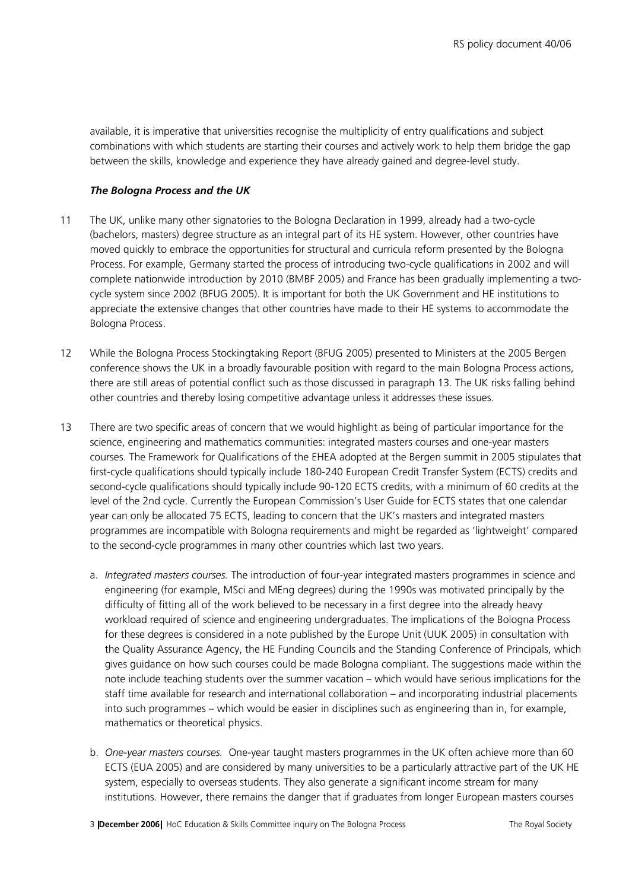available, it is imperative that universities recognise the multiplicity of entry qualifications and subject combinations with which students are starting their courses and actively work to help them bridge the gap between the skills, knowledge and experience they have already gained and degree-level study.

#### The Bologna Process and the UK

- 11 The UK, unlike many other signatories to the Bologna Declaration in 1999, already had a two-cycle (bachelors, masters) degree structure as an integral part of its HE system. However, other countries have moved quickly to embrace the opportunities for structural and curricula reform presented by the Bologna Process. For example, Germany started the process of introducing two-cycle qualifications in 2002 and will complete nationwide introduction by 2010 (BMBF 2005) and France has been gradually implementing a twocycle system since 2002 (BFUG 2005). It is important for both the UK Government and HE institutions to appreciate the extensive changes that other countries have made to their HE systems to accommodate the Bologna Process.
- 12 While the Bologna Process Stockingtaking Report (BFUG 2005) presented to Ministers at the 2005 Bergen conference shows the UK in a broadly favourable position with regard to the main Bologna Process actions, there are still areas of potential conflict such as those discussed in paragraph 13. The UK risks falling behind other countries and thereby losing competitive advantage unless it addresses these issues.
- 13 There are two specific areas of concern that we would highlight as being of particular importance for the science, engineering and mathematics communities: integrated masters courses and one-year masters courses. The Framework for Qualifications of the EHEA adopted at the Bergen summit in 2005 stipulates that first-cycle qualifications should typically include 180-240 European Credit Transfer System (ECTS) credits and second-cycle qualifications should typically include 90-120 ECTS credits, with a minimum of 60 credits at the level of the 2nd cycle. Currently the European Commission's User Guide for ECTS states that one calendar year can only be allocated 75 ECTS, leading to concern that the UK's masters and integrated masters programmes are incompatible with Bologna requirements and might be regarded as 'lightweight' compared to the second-cycle programmes in many other countries which last two years.
	- a. Integrated masters courses. The introduction of four-year integrated masters programmes in science and engineering (for example, MSci and MEng degrees) during the 1990s was motivated principally by the difficulty of fitting all of the work believed to be necessary in a first degree into the already heavy workload required of science and engineering undergraduates. The implications of the Bologna Process for these degrees is considered in a note published by the Europe Unit (UUK 2005) in consultation with the Quality Assurance Agency, the HE Funding Councils and the Standing Conference of Principals, which gives guidance on how such courses could be made Bologna compliant. The suggestions made within the note include teaching students over the summer vacation – which would have serious implications for the staff time available for research and international collaboration – and incorporating industrial placements into such programmes – which would be easier in disciplines such as engineering than in, for example, mathematics or theoretical physics.
	- b. One-year masters courses. One-year taught masters programmes in the UK often achieve more than 60 ECTS (EUA 2005) and are considered by many universities to be a particularly attractive part of the UK HE system, especially to overseas students. They also generate a significant income stream for many institutions. However, there remains the danger that if graduates from longer European masters courses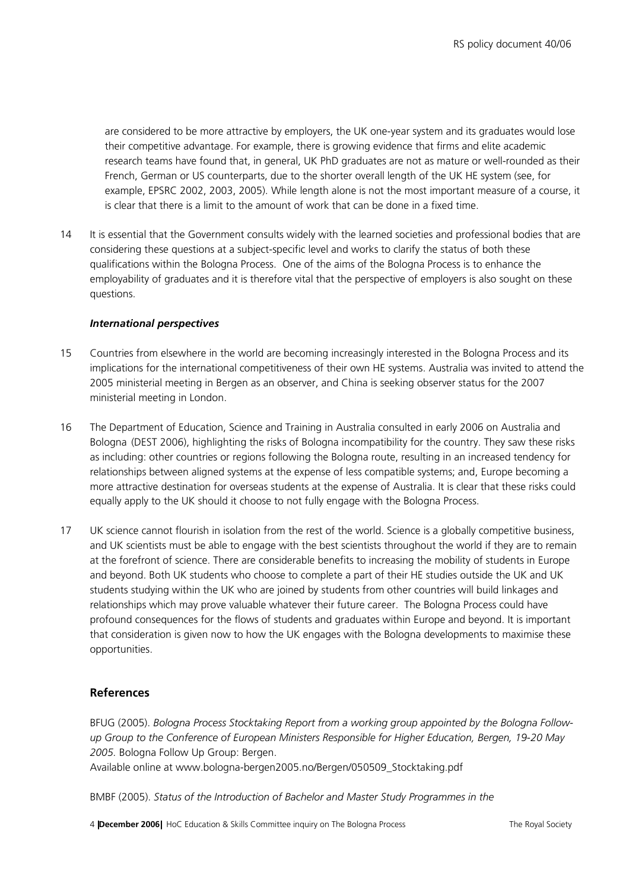are considered to be more attractive by employers, the UK one-year system and its graduates would lose their competitive advantage. For example, there is growing evidence that firms and elite academic research teams have found that, in general, UK PhD graduates are not as mature or well-rounded as their French, German or US counterparts, due to the shorter overall length of the UK HE system (see, for example, EPSRC 2002, 2003, 2005). While length alone is not the most important measure of a course, it is clear that there is a limit to the amount of work that can be done in a fixed time.

14 It is essential that the Government consults widely with the learned societies and professional bodies that are considering these questions at a subject-specific level and works to clarify the status of both these qualifications within the Bologna Process. One of the aims of the Bologna Process is to enhance the employability of graduates and it is therefore vital that the perspective of employers is also sought on these questions.

#### International perspectives

- 15 Countries from elsewhere in the world are becoming increasingly interested in the Bologna Process and its implications for the international competitiveness of their own HE systems. Australia was invited to attend the 2005 ministerial meeting in Bergen as an observer, and China is seeking observer status for the 2007 ministerial meeting in London.
- 16 The Department of Education, Science and Training in Australia consulted in early 2006 on Australia and Bologna (DEST 2006), highlighting the risks of Bologna incompatibility for the country. They saw these risks as including: other countries or regions following the Bologna route, resulting in an increased tendency for relationships between aligned systems at the expense of less compatible systems; and, Europe becoming a more attractive destination for overseas students at the expense of Australia. It is clear that these risks could equally apply to the UK should it choose to not fully engage with the Bologna Process.
- 17 UK science cannot flourish in isolation from the rest of the world. Science is a globally competitive business, and UK scientists must be able to engage with the best scientists throughout the world if they are to remain at the forefront of science. There are considerable benefits to increasing the mobility of students in Europe and beyond. Both UK students who choose to complete a part of their HE studies outside the UK and UK students studying within the UK who are joined by students from other countries will build linkages and relationships which may prove valuable whatever their future career. The Bologna Process could have profound consequences for the flows of students and graduates within Europe and beyond. It is important that consideration is given now to how the UK engages with the Bologna developments to maximise these opportunities.

### References

BFUG (2005). Bologna Process Stocktaking Report from a working group appointed by the Bologna Followup Group to the Conference of European Ministers Responsible for Higher Education, Bergen, 19-20 May 2005. Bologna Follow Up Group: Bergen.

Available online at www.bologna-bergen2005.no/Bergen/050509\_Stocktaking.pdf

BMBF (2005). Status of the Introduction of Bachelor and Master Study Programmes in the

4 **|December 2006|** HoC Education & Skills Committee inquiry on The Bologna Process The Royal Society